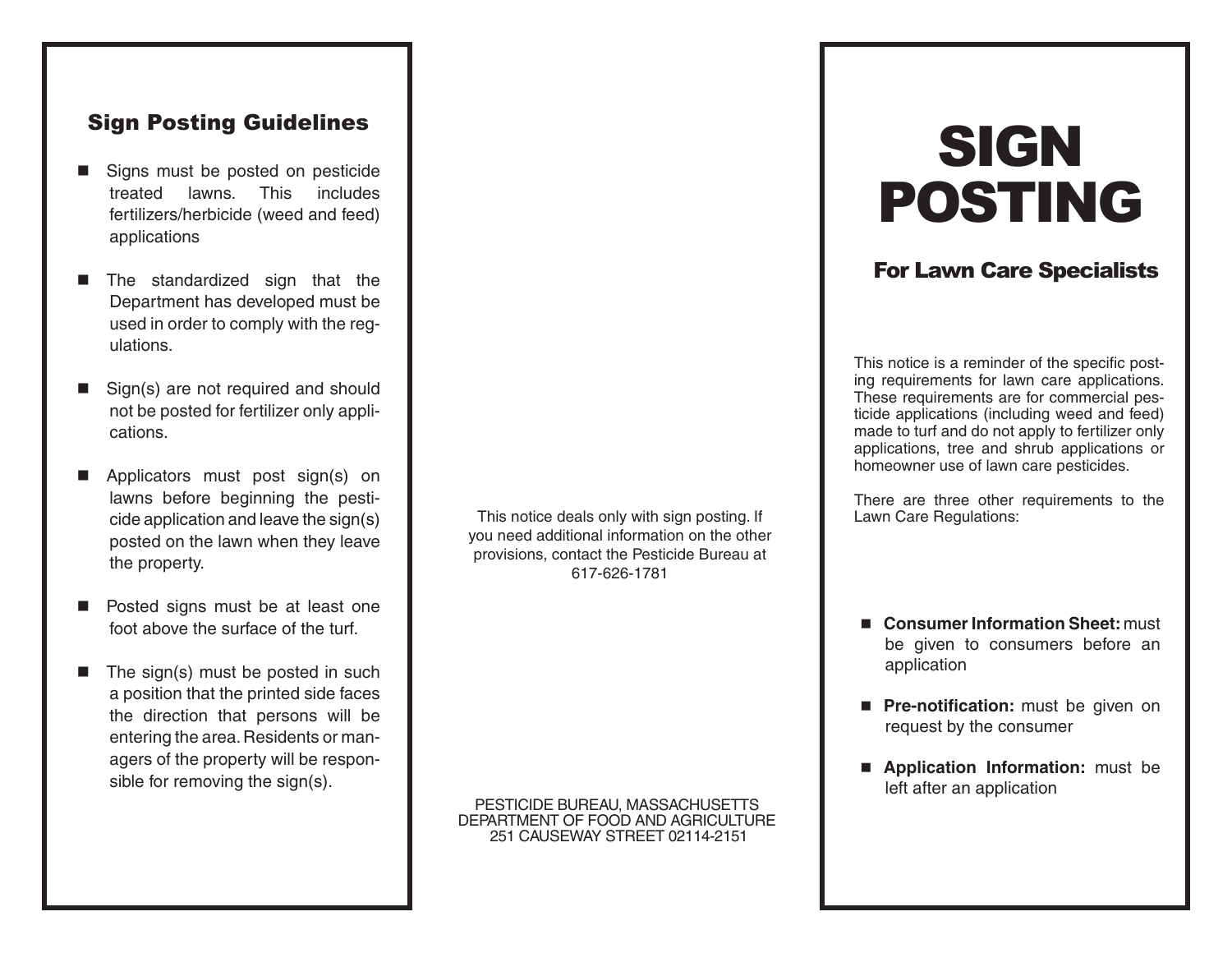## Sign Posting Guidelines

- Signs must be posted on pesticide treated lawns. This includes fertilizers/herbicide (weed and feed) applications
- The standardized sign that the Department has developed must be used in order to comply with the regulations.
- Sign(s) are not required and should not be posted for fertilizer only applications.
- Applicators must post sign(s) on lawns before beginning the pesticide application and leave the sign(s) posted on the lawn when they leave the property.
- **n** Posted signs must be at least one foot above the surface of the turf.
- $\blacksquare$  The sign(s) must be posted in such a position that the printed side faces the direction that persons will be entering the area. Residents or managers of the property will be responsible for removing the sign(s).

This notice deals only with sign posting. If you need additional information on the other provisions, contact the Pesticide Bureau at 617-626-1781

PESTICIDE BUREAU, MASSACHUSETTS DEPARTMENT OF FOOD AND AGRICULTURE 251 CAUSEWAY STREET 02114-2151

# **SIGN** POSTING

## For Lawn Care Specialists

This notice is a reminder of the specific posting requirements for lawn care applications. These requirements are for commercial pesticide applications (including weed and feed) made to turf and do not apply to fertilizer only applications, tree and shrub applications or homeowner use of lawn care pesticides.

There are three other requirements to the Lawn Care Regulations:

- **Consumer Information Sheet:** must be given to consumers before an application
- **Pre-notification:** must be given on request by the consumer
- **n** Application Information: must be left after an application